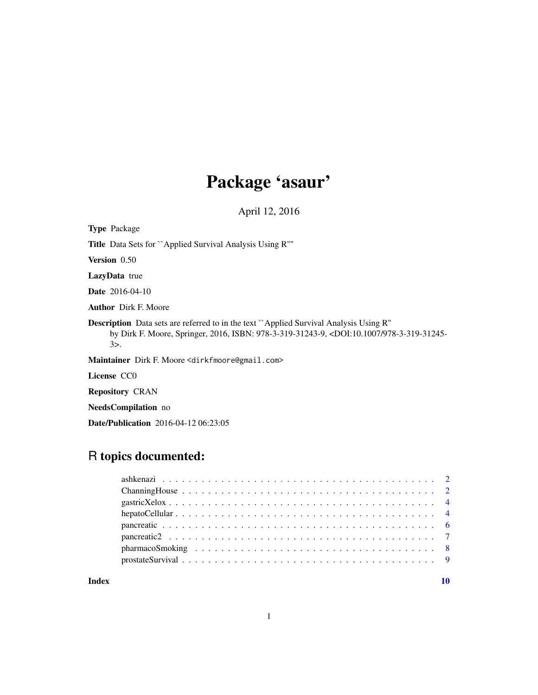## Package 'asaur'

April 12, 2016

Type Package Title Data Sets for ``Applied Survival Analysis Using R''" Version 0.50 LazyData true Date 2016-04-10 Author Dirk F. Moore Description Data sets are referred to in the text ``Applied Survival Analysis Using R'' by Dirk F. Moore, Springer, 2016, ISBN: 978-3-319-31243-9, <DOI:10.1007/978-3-319-31245- 3>. Maintainer Dirk F. Moore <dirkfmoore@gmail.com> License CC0 Repository CRAN

NeedsCompilation no

Date/Publication 2016-04-12 06:23:05

### R topics documented:

#### $\blacksquare$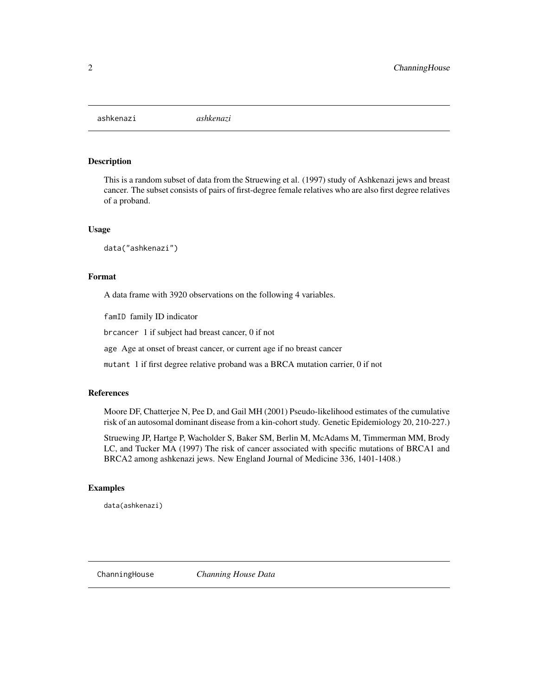<span id="page-1-0"></span>ashkenazi *ashkenazi*

#### Description

This is a random subset of data from the Struewing et al. (1997) study of Ashkenazi jews and breast cancer. The subset consists of pairs of first-degree female relatives who are also first degree relatives of a proband.

#### Usage

data("ashkenazi")

#### Format

A data frame with 3920 observations on the following 4 variables.

famID family ID indicator

brcancer 1 if subject had breast cancer, 0 if not

age Age at onset of breast cancer, or current age if no breast cancer

mutant 1 if first degree relative proband was a BRCA mutation carrier, 0 if not

#### References

Moore DF, Chatterjee N, Pee D, and Gail MH (2001) Pseudo-likelihood estimates of the cumulative risk of an autosomal dominant disease from a kin-cohort study. Genetic Epidemiology 20, 210-227.)

Struewing JP, Hartge P, Wacholder S, Baker SM, Berlin M, McAdams M, Timmerman MM, Brody LC, and Tucker MA (1997) The risk of cancer associated with specific mutations of BRCA1 and BRCA2 among ashkenazi jews. New England Journal of Medicine 336, 1401-1408.)

#### Examples

data(ashkenazi)

ChanningHouse *Channing House Data*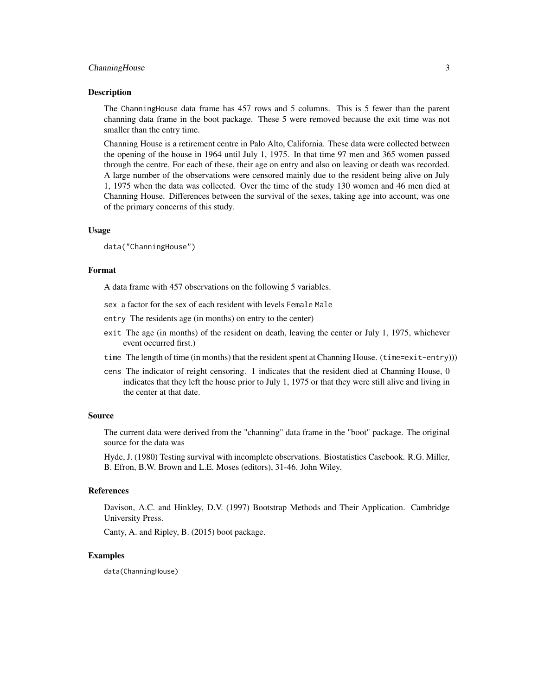#### ChanningHouse 3

#### Description

The ChanningHouse data frame has 457 rows and 5 columns. This is 5 fewer than the parent channing data frame in the boot package. These 5 were removed because the exit time was not smaller than the entry time.

Channing House is a retirement centre in Palo Alto, California. These data were collected between the opening of the house in 1964 until July 1, 1975. In that time 97 men and 365 women passed through the centre. For each of these, their age on entry and also on leaving or death was recorded. A large number of the observations were censored mainly due to the resident being alive on July 1, 1975 when the data was collected. Over the time of the study 130 women and 46 men died at Channing House. Differences between the survival of the sexes, taking age into account, was one of the primary concerns of this study.

#### Usage

data("ChanningHouse")

#### Format

A data frame with 457 observations on the following 5 variables.

- sex a factor for the sex of each resident with levels Female Male
- entry The residents age (in months) on entry to the center)
- exit The age (in months) of the resident on death, leaving the center or July 1, 1975, whichever event occurred first.)
- time The length of time (in months) that the resident spent at Channing House. (time=exit-entry)))
- cens The indicator of reight censoring. 1 indicates that the resident died at Channing House, 0 indicates that they left the house prior to July 1, 1975 or that they were still alive and living in the center at that date.

#### Source

The current data were derived from the "channing" data frame in the "boot" package. The original source for the data was

Hyde, J. (1980) Testing survival with incomplete observations. Biostatistics Casebook. R.G. Miller, B. Efron, B.W. Brown and L.E. Moses (editors), 31-46. John Wiley.

#### References

Davison, A.C. and Hinkley, D.V. (1997) Bootstrap Methods and Their Application. Cambridge University Press.

Canty, A. and Ripley, B. (2015) boot package.

#### Examples

data(ChanningHouse)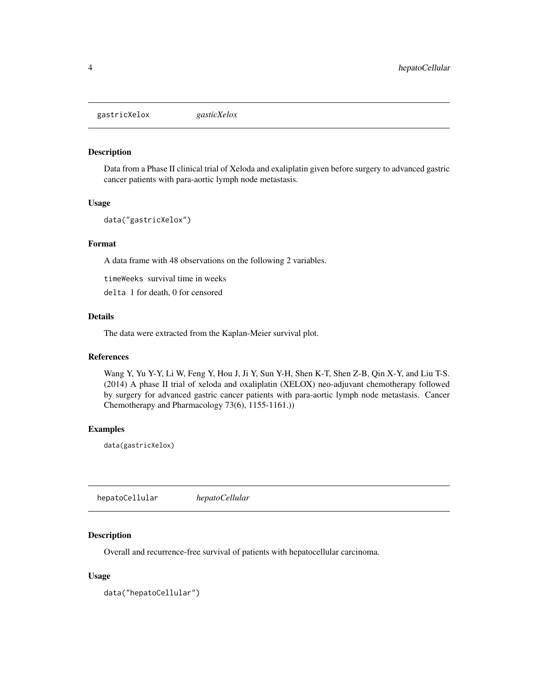<span id="page-3-0"></span>gastricXelox *gasticXelox*

#### Description

Data from a Phase II clinical trial of Xeloda and exaliplatin given before surgery to advanced gastric cancer patients with para-aortic lymph node metastasis.

#### Usage

data("gastricXelox")

#### Format

A data frame with 48 observations on the following 2 variables.

timeWeeks survival time in weeks

delta 1 for death, 0 for censored

#### Details

The data were extracted from the Kaplan-Meier survival plot.

#### References

Wang Y, Yu Y-Y, Li W, Feng Y, Hou J, Ji Y, Sun Y-H, Shen K-T, Shen Z-B, Qin X-Y, and Liu T-S. (2014) A phase II trial of xeloda and oxaliplatin (XELOX) neo-adjuvant chemotherapy followed by surgery for advanced gastric cancer patients with para-aortic lymph node metastasis. Cancer Chemotherapy and Pharmacology 73(6), 1155-1161.))

#### Examples

data(gastricXelox)

hepatoCellular *hepatoCellular*

#### Description

Overall and recurrence-free survival of patients with hepatocellular carcinoma.

#### Usage

data("hepatoCellular")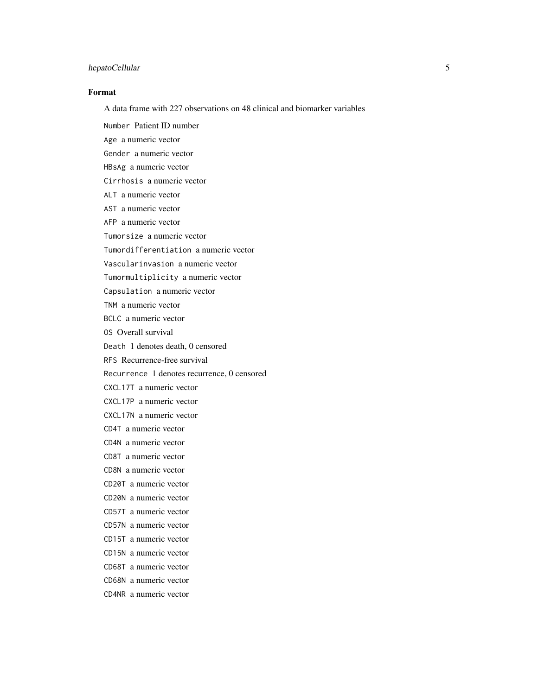#### hepatoCellular 5

#### Format

A data frame with 227 observations on 48 clinical and biomarker variables

Number Patient ID number Age a numeric vector Gender a numeric vector HBsAg a numeric vector Cirrhosis a numeric vector ALT a numeric vector AST a numeric vector AFP a numeric vector Tumorsize a numeric vector Tumordifferentiation a numeric vector Vascularinvasion a numeric vector Tumormultiplicity a numeric vector Capsulation a numeric vector TNM a numeric vector BCLC a numeric vector OS Overall survival Death 1 denotes death, 0 censored RFS Recurrence-free survival Recurrence 1 denotes recurrence, 0 censored CXCL17T a numeric vector CXCL17P a numeric vector CXCL17N a numeric vector CD4T a numeric vector CD4N a numeric vector CD8T a numeric vector CD8N a numeric vector CD20T a numeric vector CD20N a numeric vector CD57T a numeric vector CD57N a numeric vector CD15T a numeric vector CD15N a numeric vector CD68T a numeric vector CD68N a numeric vector CD4NR a numeric vector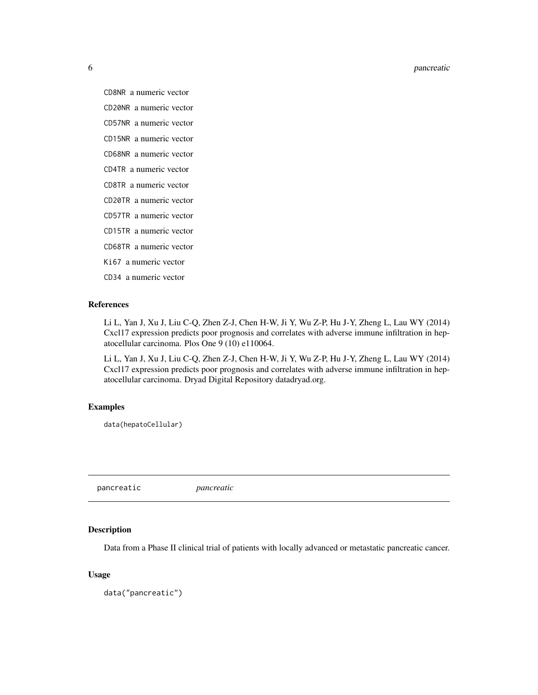<span id="page-5-0"></span>6 pancreatic

CD8NR a numeric vector

CD20NR a numeric vector

CD57NR a numeric vector

CD15NR a numeric vector

CD68NR a numeric vector

CD4TR a numeric vector

CD8TR a numeric vector

CD20TR a numeric vector

CD57TR a numeric vector

CD15TR a numeric vector

CD68TR a numeric vector

Ki67 a numeric vector

CD34 a numeric vector

#### References

Li L, Yan J, Xu J, Liu C-Q, Zhen Z-J, Chen H-W, Ji Y, Wu Z-P, Hu J-Y, Zheng L, Lau WY (2014) Cxcl17 expression predicts poor prognosis and correlates with adverse immune infiltration in hepatocellular carcinoma. Plos One 9 (10) e110064.

Li L, Yan J, Xu J, Liu C-Q, Zhen Z-J, Chen H-W, Ji Y, Wu Z-P, Hu J-Y, Zheng L, Lau WY (2014) Cxcl17 expression predicts poor prognosis and correlates with adverse immune infiltration in hepatocellular carcinoma. Dryad Digital Repository datadryad.org.

#### Examples

data(hepatoCellular)

pancreatic *pancreatic*

#### Description

Data from a Phase II clinical trial of patients with locally advanced or metastatic pancreatic cancer.

#### Usage

data("pancreatic")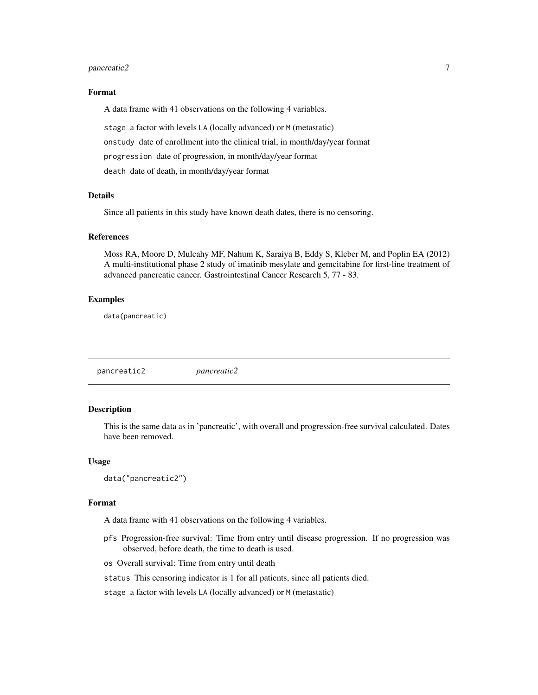#### <span id="page-6-0"></span>pancreatic2 7

#### Format

A data frame with 41 observations on the following 4 variables.

stage a factor with levels LA (locally advanced) or M (metastatic) onstudy date of enrollment into the clinical trial, in month/day/year format progression date of progression, in month/day/year format death date of death, in month/day/year format

#### Details

Since all patients in this study have known death dates, there is no censoring.

#### References

Moss RA, Moore D, Mulcahy MF, Nahum K, Saraiya B, Eddy S, Kleber M, and Poplin EA (2012) A multi-institutional phase 2 study of imatinib mesylate and gemcitabine for first-line treatment of advanced pancreatic cancer. Gastrointestinal Cancer Research 5, 77 - 83.

#### Examples

data(pancreatic)

pancreatic2 *pancreatic2*

#### Description

This is the same data as in 'pancreatic', with overall and progression-free survival calculated. Dates have been removed.

#### Usage

```
data("pancreatic2")
```
#### Format

A data frame with 41 observations on the following 4 variables.

- pfs Progression-free survival: Time from entry until disease progression. If no progression was observed, before death, the time to death is used.
- os Overall survival: Time from entry until death
- status This censoring indicator is 1 for all patients, since all patients died.

stage a factor with levels LA (locally advanced) or M (metastatic)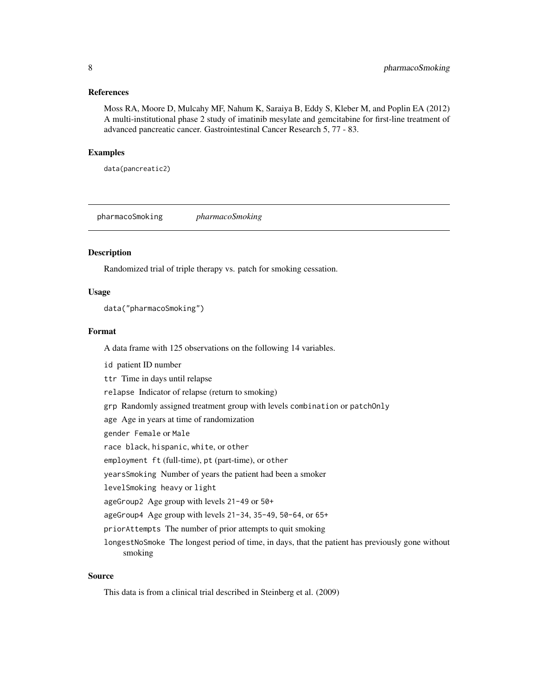#### <span id="page-7-0"></span>References

Moss RA, Moore D, Mulcahy MF, Nahum K, Saraiya B, Eddy S, Kleber M, and Poplin EA (2012) A multi-institutional phase 2 study of imatinib mesylate and gemcitabine for first-line treatment of advanced pancreatic cancer. Gastrointestinal Cancer Research 5, 77 - 83.

#### Examples

data(pancreatic2)

pharmacoSmoking *pharmacoSmoking*

#### **Description**

Randomized trial of triple therapy vs. patch for smoking cessation.

#### Usage

data("pharmacoSmoking")

#### Format

A data frame with 125 observations on the following 14 variables.

id patient ID number ttr Time in days until relapse relapse Indicator of relapse (return to smoking) grp Randomly assigned treatment group with levels combination or patchOnly age Age in years at time of randomization gender Female or Male race black, hispanic, white, or other employment ft (full-time), pt (part-time), or other yearsSmoking Number of years the patient had been a smoker levelSmoking heavy or light ageGroup2 Age group with levels 21-49 or 50+ ageGroup4 Age group with levels 21-34, 35-49, 50-64, or 65+ priorAttempts The number of prior attempts to quit smoking longestNoSmoke The longest period of time, in days, that the patient has previously gone without smoking

#### Source

This data is from a clinical trial described in Steinberg et al. (2009)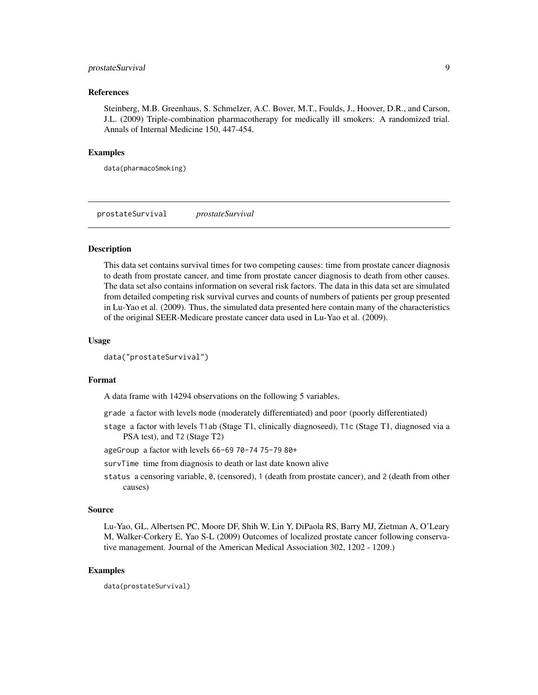#### <span id="page-8-0"></span>prostateSurvival 9

#### References

Steinberg, M.B. Greenhaus, S. Schmelzer, A.C. Bover, M.T., Foulds, J., Hoover, D.R., and Carson, J.L. (2009) Triple-combination pharmacotherapy for medically ill smokers: A randomized trial. Annals of Internal Medicine 150, 447-454.

#### Examples

data(pharmacoSmoking)

prostateSurvival *prostateSurvival*

#### Description

This data set contains survival times for two competing causes: time from prostate cancer diagnosis to death from prostate cancer, and time from prostate cancer diagnosis to death from other causes. The data set also contains information on several risk factors. The data in this data set are simulated from detailed competing risk survival curves and counts of numbers of patients per group presented in Lu-Yao et al. (2009). Thus, the simulated data presented here contain many of the characteristics of the original SEER-Medicare prostate cancer data used in Lu-Yao et al. (2009).

#### Usage

```
data("prostateSurvival")
```
#### Format

A data frame with 14294 observations on the following 5 variables.

- grade a factor with levels mode (moderately differentiated) and poor (poorly differentiated)
- stage a factor with levels T1ab (Stage T1, clinically diagnoseed), T1c (Stage T1, diagnosed via a PSA test), and T2 (Stage T2)
- ageGroup a factor with levels 66-69 70-74 75-79 80+
- survTime time from diagnosis to death or last date known alive
- status a censoring variable, 0, (censored), 1 (death from prostate cancer), and 2 (death from other causes)

#### Source

Lu-Yao, GL, Albertsen PC, Moore DF, Shih W, Lin Y, DiPaola RS, Barry MJ, Zietman A, O'Leary M, Walker-Corkery E, Yao S-L (2009) Outcomes of localized prostate cancer following conservative management. Journal of the American Medical Association 302, 1202 - 1209.)

#### Examples

data(prostateSurvival)